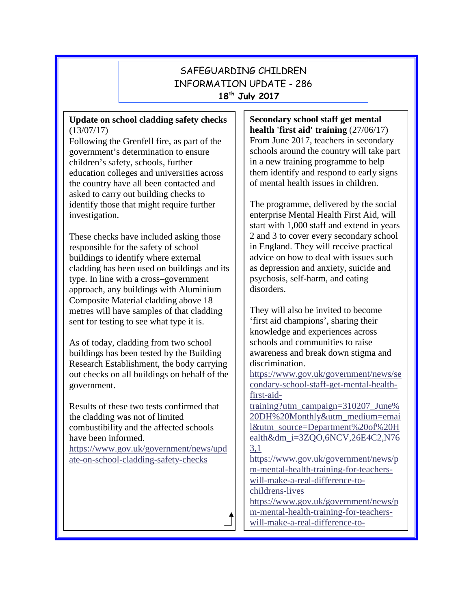# SAFEGUARDING CHILDREN INFORMATION UPDATE - 286 **18th July 2017**

# **Update on school cladding safety checks** (13/07/17)

Following the Grenfell fire, as part of the government's determination to ensure children's safety, schools, further education colleges and universities across the country have all been contacted and asked to carry out building checks to identify those that might require further investigation.

These checks have included asking those responsible for the safety of school buildings to identify where external cladding has been used on buildings and its type. In line with a cross–government approach, any buildings with Aluminium Composite Material cladding above 18 metres will have samples of that cladding sent for testing to see what type it is.

As of today, cladding from two school buildings has been tested by the Building Research Establishment, the body carrying out checks on all buildings on behalf of the government.

Results of these two tests confirmed that the cladding was not of limited combustibility and the affected schools have been informed.

[https://www.gov.uk/government/news/upd](https://www.gov.uk/government/news/update-on-school-cladding-safety-checks) [ate-on-school-cladding-safety-checks](https://www.gov.uk/government/news/update-on-school-cladding-safety-checks)

**Secondary school staff get mental health 'first aid' training** (27/06/17) From June 2017, teachers in secondary schools around the country will take part in a new training programme to help them identify and respond to early signs of mental health issues in children.

The programme, delivered by the social enterprise Mental Health First Aid, will start with 1,000 staff and extend in years 2 and 3 to cover every secondary school in England. They will receive practical advice on how to deal with issues such as depression and anxiety, suicide and psychosis, self-harm, and eating disorders.

They will also be invited to become 'first aid champions', sharing their knowledge and experiences across schools and communities to raise awareness and break down stigma and discrimination.

[https://www.gov.uk/government/news/se](https://www.gov.uk/government/news/secondary-school-staff-get-mental-health-first-aid-training?utm_campaign=310207_June%20DH%20Monthly&utm_medium=email&utm_source=Department%20of%20Health&dm_i=3ZQO,6NCV,26E4C2,N763,1) [condary-school-staff-get-mental-health](https://www.gov.uk/government/news/secondary-school-staff-get-mental-health-first-aid-training?utm_campaign=310207_June%20DH%20Monthly&utm_medium=email&utm_source=Department%20of%20Health&dm_i=3ZQO,6NCV,26E4C2,N763,1)[first-aid-](https://www.gov.uk/government/news/secondary-school-staff-get-mental-health-first-aid-training?utm_campaign=310207_June%20DH%20Monthly&utm_medium=email&utm_source=Department%20of%20Health&dm_i=3ZQO,6NCV,26E4C2,N763,1)

[training?utm\\_campaign=310207\\_June%](https://www.gov.uk/government/news/secondary-school-staff-get-mental-health-first-aid-training?utm_campaign=310207_June%20DH%20Monthly&utm_medium=email&utm_source=Department%20of%20Health&dm_i=3ZQO,6NCV,26E4C2,N763,1) [20DH%20Monthly&utm\\_medium=emai](https://www.gov.uk/government/news/secondary-school-staff-get-mental-health-first-aid-training?utm_campaign=310207_June%20DH%20Monthly&utm_medium=email&utm_source=Department%20of%20Health&dm_i=3ZQO,6NCV,26E4C2,N763,1) [l&utm\\_source=Department%20of%20H](https://www.gov.uk/government/news/secondary-school-staff-get-mental-health-first-aid-training?utm_campaign=310207_June%20DH%20Monthly&utm_medium=email&utm_source=Department%20of%20Health&dm_i=3ZQO,6NCV,26E4C2,N763,1) [ealth&dm\\_i=3ZQO,6NCV,26E4C2,N76](https://www.gov.uk/government/news/secondary-school-staff-get-mental-health-first-aid-training?utm_campaign=310207_June%20DH%20Monthly&utm_medium=email&utm_source=Department%20of%20Health&dm_i=3ZQO,6NCV,26E4C2,N763,1) [3,1](https://www.gov.uk/government/news/secondary-school-staff-get-mental-health-first-aid-training?utm_campaign=310207_June%20DH%20Monthly&utm_medium=email&utm_source=Department%20of%20Health&dm_i=3ZQO,6NCV,26E4C2,N763,1)

[https://www.gov.uk/government/news/p](https://www.gov.uk/government/news/pm-mental-health-training-for-teachers-will-make-a-real-difference-to-childrens-lives) [m-mental-health-training-for-teachers](https://www.gov.uk/government/news/pm-mental-health-training-for-teachers-will-make-a-real-difference-to-childrens-lives)[will-make-a-real-difference-to](https://www.gov.uk/government/news/pm-mental-health-training-for-teachers-will-make-a-real-difference-to-childrens-lives)[childrens-lives](https://www.gov.uk/government/news/pm-mental-health-training-for-teachers-will-make-a-real-difference-to-childrens-lives)

[https://www.gov.uk/government/news/p](https://www.gov.uk/government/news/pm-mental-health-training-for-teachers-will-make-a-real-difference-to-childrens-lives) [m-mental-health-training-for-teachers-](https://www.gov.uk/government/news/pm-mental-health-training-for-teachers-will-make-a-real-difference-to-childrens-lives)

[will-make-a-real-difference-to-](https://www.gov.uk/government/news/pm-mental-health-training-for-teachers-will-make-a-real-difference-to-childrens-lives)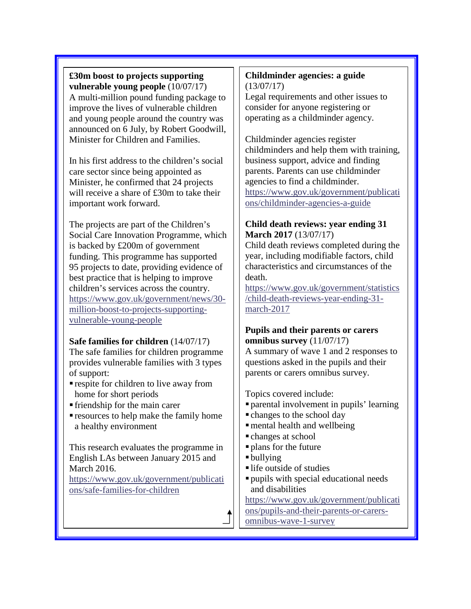**£30m boost to projects supporting vulnerable young people** (10/07/17) A multi-million pound funding package to improve the lives of vulnerable children and young people around the country was announced on 6 July, by Robert Goodwill, Minister for Children and Families.

In his first address to the children's social care sector since being appointed as Minister, he confirmed that 24 projects will receive a share of £30m to take their important work forward.

The projects are part of the Children's Social Care Innovation Programme, which is backed by £200m of government funding. This programme has supported 95 projects to date, providing evidence of best practice that is helping to improve children's services across the country. [https://www.gov.uk/government/news/30](https://www.gov.uk/government/news/30-million-boost-to-projects-supporting-vulnerable-young-people) [million-boost-to-projects-supporting](https://www.gov.uk/government/news/30-million-boost-to-projects-supporting-vulnerable-young-people)[vulnerable-young-people](https://www.gov.uk/government/news/30-million-boost-to-projects-supporting-vulnerable-young-people)

# **Safe families for children** (14/07/17)

The safe families for children programme provides vulnerable families with 3 types of support:

- respite for children to live away from home for short periods
- friendship for the main carer
- resources to help make the family home a healthy environment

This research evaluates the programme in English LAs between January 2015 and March 2016. [https://www.gov.uk/government/publicati](https://www.gov.uk/government/publications/safe-families-for-children) [ons/safe-families-for-children](https://www.gov.uk/government/publications/safe-families-for-children)

#### **Childminder agencies: a guide** (13/07/17)

Legal requirements and other issues to consider for anyone registering or operating as a childminder agency.

Childminder agencies register childminders and help them with training, business support, advice and finding parents. Parents can use childminder agencies to find a childminder. [https://www.gov.uk/government/publicati](https://www.gov.uk/government/publications/childminder-agencies-a-guide) [ons/childminder-agencies-a-guide](https://www.gov.uk/government/publications/childminder-agencies-a-guide)

# **Child death reviews: year ending 31 March 2017** (13/07/17)

Child death reviews completed during the year, including modifiable factors, child characteristics and circumstances of the death.

[https://www.gov.uk/government/statistics](https://www.gov.uk/government/statistics/child-death-reviews-year-ending-31-march-2017) [/child-death-reviews-year-ending-31](https://www.gov.uk/government/statistics/child-death-reviews-year-ending-31-march-2017) [march-2017](https://www.gov.uk/government/statistics/child-death-reviews-year-ending-31-march-2017)

## **Pupils and their parents or carers omnibus survey** (11/07/17)

A summary of wave 1 and 2 responses to questions asked in the pupils and their parents or carers omnibus survey.

Topics covered include:

- parental involvement in pupils' learning
- changes to the school day
- mental health and wellbeing
- changes at school
- plans for the future
- bullying
- life outside of studies
- pupils with special educational needs and disabilities

[https://www.gov.uk/government/publicati](https://www.gov.uk/government/publications/pupils-and-their-parents-or-carers-omnibus-wave-1-survey)

[ons/pupils-and-their-parents-or-carers-](https://www.gov.uk/government/publications/pupils-and-their-parents-or-carers-omnibus-wave-1-survey)

[omnibus-wave-1-survey](https://www.gov.uk/government/publications/pupils-and-their-parents-or-carers-omnibus-wave-1-survey)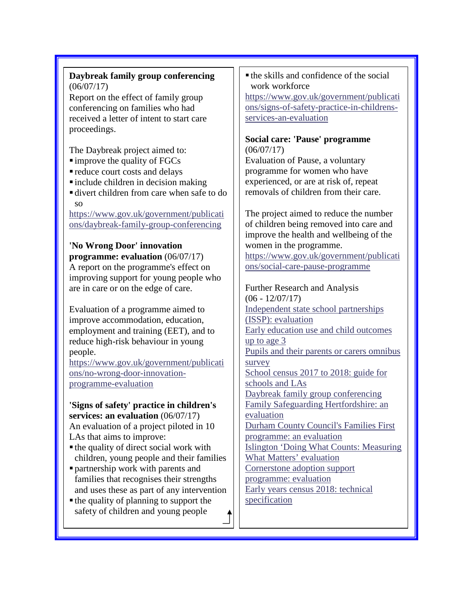# **Daybreak family group conferencing** (06/07/17)

Report on the effect of family group conferencing on families who had received a letter of intent to start care proceedings.

The Daybreak project aimed to:

- $\blacksquare$  improve the quality of FGCs
- reduce court costs and delays
- $\blacksquare$ include children in decision making
- divert children from care when safe to do so

[https://www.gov.uk/government/publicati](https://www.gov.uk/government/publications/daybreak-family-group-conferencing) [ons/daybreak-family-group-conferencing](https://www.gov.uk/government/publications/daybreak-family-group-conferencing)

# **'No Wrong Door' innovation**

**programme: evaluation** (06/07/17) A report on the programme's effect on improving support for young people who are in care or on the edge of care.

Evaluation of a programme aimed to improve accommodation, education, employment and training (EET), and to reduce high-risk behaviour in young people.

[https://www.gov.uk/government/publicati](https://www.gov.uk/government/publications/no-wrong-door-innovation-programme-evaluation) [ons/no-wrong-door-innovation](https://www.gov.uk/government/publications/no-wrong-door-innovation-programme-evaluation)[programme-evaluation](https://www.gov.uk/government/publications/no-wrong-door-innovation-programme-evaluation)

**'Signs of safety' practice in children's services: an evaluation** (06/07/17) An evaluation of a project piloted in 10 LAs that aims to improve:

- the quality of direct social work with children, young people and their families
- partnership work with parents and families that recognises their strengths
- and uses these as part of any intervention  $\blacksquare$  the quality of planning to support the
- safety of children and young people

 the skills and confidence of the social work workforce [https://www.gov.uk/government/publicati](https://www.gov.uk/government/publications/signs-of-safety-practice-in-childrens-services-an-evaluation) [ons/signs-of-safety-practice-in-childrens](https://www.gov.uk/government/publications/signs-of-safety-practice-in-childrens-services-an-evaluation)[services-an-evaluation](https://www.gov.uk/government/publications/signs-of-safety-practice-in-childrens-services-an-evaluation)

## **Social care: 'Pause' programme** (06/07/17)

Evaluation of Pause, a voluntary programme for women who have experienced, or are at risk of, repeat removals of children from their care.

The project aimed to reduce the number of children being removed into care and improve the health and wellbeing of the women in the programme. [https://www.gov.uk/government/publicati](https://www.gov.uk/government/publications/social-care-pause-programme) [ons/social-care-pause-programme](https://www.gov.uk/government/publications/social-care-pause-programme)

Further Research and Analysis  $(06 - 12/07/17)$ [Independent state school partnerships](https://www.gov.uk/government/publications/independent-state-school-partnerships-issp-evaluation)  [\(ISSP\): evaluation](https://www.gov.uk/government/publications/independent-state-school-partnerships-issp-evaluation) [Early education use and child outcomes](https://www.gov.uk/government/publications/early-education-use-and-child-outcomes-up-to-age-3)  [up to age 3](https://www.gov.uk/government/publications/early-education-use-and-child-outcomes-up-to-age-3) [Pupils and their parents or carers omnibus](https://www.gov.uk/government/publications/pupils-and-their-parents-or-carers-omnibus-wave-1-survey)  [survey](https://www.gov.uk/government/publications/pupils-and-their-parents-or-carers-omnibus-wave-1-survey) [School census 2017 to 2018: guide for](https://www.gov.uk/government/publications/school-census-2017-to-2018-guide-for-schools-and-las)  [schools and LAs](https://www.gov.uk/government/publications/school-census-2017-to-2018-guide-for-schools-and-las) [Daybreak family group conferencing](https://www.gov.uk/government/publications/daybreak-family-group-conferencing) [Family Safeguarding Hertfordshire: an](https://www.gov.uk/government/publications/family-safeguarding-hertfordshire-an-evaluation)  [evaluation](https://www.gov.uk/government/publications/family-safeguarding-hertfordshire-an-evaluation) [Durham County Council's Families First](https://www.gov.uk/government/publications/durham-county-councils-families-first-programme-an-evaluation)  [programme: an evaluation](https://www.gov.uk/government/publications/durham-county-councils-families-first-programme-an-evaluation) [Islington 'Doing What Counts: Measuring](https://www.gov.uk/government/publications/islington-doing-what-counts-measuring-what-matters-evaluation)  [What Matters' evaluation](https://www.gov.uk/government/publications/islington-doing-what-counts-measuring-what-matters-evaluation) [Cornerstone adoption support](https://www.gov.uk/government/publications/cornerstone-adoption-support-programme-evaluation)  [programme: evaluation](https://www.gov.uk/government/publications/cornerstone-adoption-support-programme-evaluation) [Early years census 2018: technical](https://www.gov.uk/government/publications/early-years-census-2018-technical-specification)  [specification](https://www.gov.uk/government/publications/early-years-census-2018-technical-specification)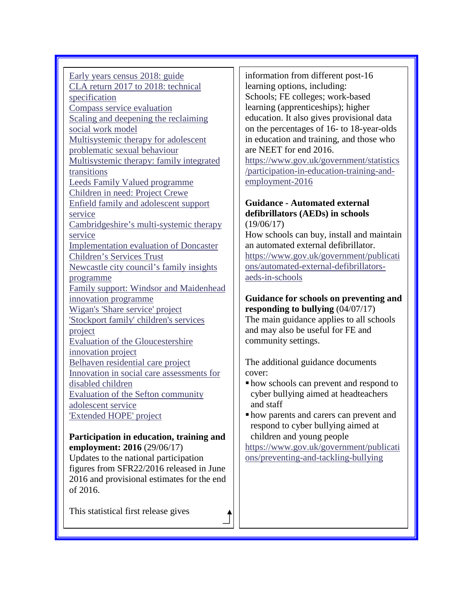[Early years census 2018: guide](https://www.gov.uk/government/publications/early-years-census-2018-guide) [CLA return 2017 to 2018: technical](https://www.gov.uk/government/publications/cla-return-2017-to-2018-technical-specification)  [specification](https://www.gov.uk/government/publications/cla-return-2017-to-2018-technical-specification) [Compass service evaluation](https://www.gov.uk/government/publications/compass-service-evaluation) [Scaling and deepening the reclaiming](https://www.gov.uk/government/publications/scaling-and-deepening-the-reclaiming-social-work-model)  [social work model](https://www.gov.uk/government/publications/scaling-and-deepening-the-reclaiming-social-work-model) [Multisystemic therapy for adolescent](https://www.gov.uk/government/publications/multisystemic-therapy-for-adolescent-problematic-sexual-behaviour)  [problematic sexual behaviour](https://www.gov.uk/government/publications/multisystemic-therapy-for-adolescent-problematic-sexual-behaviour) [Multisystemic therapy: family integrated](https://www.gov.uk/government/publications/multisystemic-therapy-family-integrated-transitions)  [transitions](https://www.gov.uk/government/publications/multisystemic-therapy-family-integrated-transitions) [Leeds Family Valued programme](https://www.gov.uk/government/publications/leeds-family-valued-programme) [Children in need: Project Crewe](https://www.gov.uk/government/publications/children-in-need-project-crewe) [Enfield family and adolescent support](https://www.gov.uk/government/publications/enfield-family-and-adolescent-support-service)  [service](https://www.gov.uk/government/publications/enfield-family-and-adolescent-support-service) [Cambridgeshire's multi-systemic therapy](https://www.gov.uk/government/publications/cambridgeshires-multi-systemic-therapy-service)  [service](https://www.gov.uk/government/publications/cambridgeshires-multi-systemic-therapy-service) [Implementation evaluation of Doncaster](https://www.gov.uk/government/publications/implementation-evaluation-of-doncaster-childrens-services-trust)  [Children's Services Trust](https://www.gov.uk/government/publications/implementation-evaluation-of-doncaster-childrens-services-trust) [Newcastle city council's family insights](https://www.gov.uk/government/publications/newcastle-city-councils-family-insights-programme)  [programme](https://www.gov.uk/government/publications/newcastle-city-councils-family-insights-programme) [Family support: Windsor and Maidenhead](https://www.gov.uk/government/publications/family-support-windsor-and-maidenhead-innovation-programme)  [innovation programme](https://www.gov.uk/government/publications/family-support-windsor-and-maidenhead-innovation-programme) [Wigan's 'Share service' project](https://www.gov.uk/government/publications/wigans-share-service-project) ['Stockport family' children's services](https://www.gov.uk/government/publications/stockport-family-childrens-services-project)  [project](https://www.gov.uk/government/publications/stockport-family-childrens-services-project) [Evaluation of the Gloucestershire](https://www.gov.uk/government/publications/evaluation-of-the-gloucestershire-innovation-project)  [innovation project](https://www.gov.uk/government/publications/evaluation-of-the-gloucestershire-innovation-project) [Belhaven residential care project](https://www.gov.uk/government/publications/belhaven-residential-care-project) [Innovation in social care assessments for](https://www.gov.uk/government/publications/innovation-in-social-care-assessments-for-disabled-children)  [disabled children](https://www.gov.uk/government/publications/innovation-in-social-care-assessments-for-disabled-children) [Evaluation of the Sefton community](https://www.gov.uk/government/publications/evaluation-of-the-sefton-community-adolescent-service)  [adolescent service](https://www.gov.uk/government/publications/evaluation-of-the-sefton-community-adolescent-service) ['Extended HOPE' project](https://www.gov.uk/government/publications/extended-hope-project)

#### **Participation in education, training and employment: 2016** (29/06/17)

Updates to the national participation figures from SFR22/2016 released in June 2016 and provisional estimates for the end of 2016.

This statistical first release gives

information from different post-16 learning options, including: Schools; FE colleges; work-based learning (apprenticeships); higher education. It also gives provisional data on the percentages of 16- to 18-year-olds in education and training, and those who are NEET for end 2016. [https://www.gov.uk/government/statistics](https://www.gov.uk/government/statistics/participation-in-education-training-and-employment-2016) [/participation-in-education-training-and](https://www.gov.uk/government/statistics/participation-in-education-training-and-employment-2016)[employment-2016](https://www.gov.uk/government/statistics/participation-in-education-training-and-employment-2016)

#### **Guidance - Automated external defibrillators (AEDs) in schools** (19/06/17)

How schools can buy, install and maintain an automated external defibrillator. [https://www.gov.uk/government/publicati](https://www.gov.uk/government/publications/automated-external-defibrillators-aeds-in-schools) [ons/automated-external-defibrillators](https://www.gov.uk/government/publications/automated-external-defibrillators-aeds-in-schools)[aeds-in-schools](https://www.gov.uk/government/publications/automated-external-defibrillators-aeds-in-schools)

#### **Guidance for schools on preventing and responding to bullying** (04/07/17)

The main guidance applies to all schools and may also be useful for FE and community settings.

The additional guidance documents cover:

- how schools can prevent and respond to cyber bullying aimed at headteachers and staff
- how parents and carers can prevent and respond to cyber bullying aimed at children and young people

[https://www.gov.uk/government/publicati](https://www.gov.uk/government/publications/preventing-and-tackling-bullying) [ons/preventing-and-tackling-bullying](https://www.gov.uk/government/publications/preventing-and-tackling-bullying)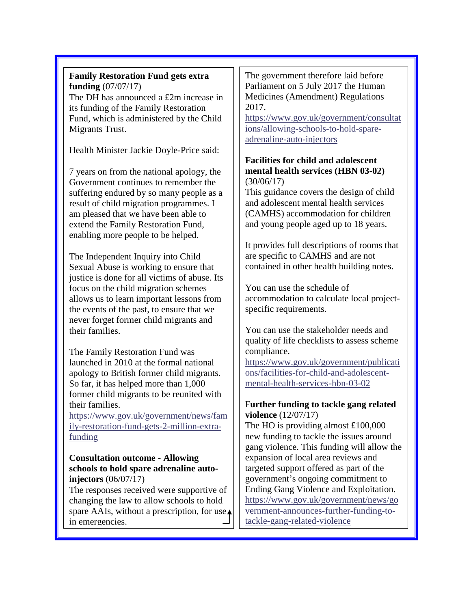**Family Restoration Fund gets extra funding** (07/07/17) The DH has announced a £2m increase in its funding of the Family Restoration Fund, which is administered by the Child Migrants Trust.

Health Minister Jackie Doyle-Price said:

7 years on from the national apology, the Government continues to remember the suffering endured by so many people as a result of child migration programmes. I am pleased that we have been able to extend the Family Restoration Fund, enabling more people to be helped.

The Independent Inquiry into Child Sexual Abuse is working to ensure that justice is done for all victims of abuse. Its focus on the child migration schemes allows us to learn important lessons from the events of the past, to ensure that we never forget former child migrants and their families.

The Family Restoration Fund was launched in 2010 at the formal national apology to British former child migrants. So far, it has helped more than 1,000 former child migrants to be reunited with their families.

[https://www.gov.uk/government/news/fam](https://www.gov.uk/government/news/family-restoration-fund-gets-2-million-extra-funding) [ily-restoration-fund-gets-2-million-extra](https://www.gov.uk/government/news/family-restoration-fund-gets-2-million-extra-funding)[funding](https://www.gov.uk/government/news/family-restoration-fund-gets-2-million-extra-funding)

#### **Consultation outcome - Allowing schools to hold spare adrenaline autoinjectors** (06/07/17)

The responses received were supportive of changing the law to allow schools to hold spare AAIs, without a prescription, for use in emergencies.

The government therefore laid before Parliament on 5 July 2017 the Human Medicines (Amendment) Regulations 2017.

[https://www.gov.uk/government/consultat](https://www.gov.uk/government/consultations/allowing-schools-to-hold-spare-adrenaline-auto-injectors) [ions/allowing-schools-to-hold-spare](https://www.gov.uk/government/consultations/allowing-schools-to-hold-spare-adrenaline-auto-injectors)[adrenaline-auto-injectors](https://www.gov.uk/government/consultations/allowing-schools-to-hold-spare-adrenaline-auto-injectors)

## **Facilities for child and adolescent mental health services (HBN 03-02)** (30/06/17)

This guidance covers the design of child and adolescent mental health services (CAMHS) accommodation for children and young people aged up to 18 years.

It provides full descriptions of rooms that are specific to CAMHS and are not contained in other health building notes.

You can use the schedule of accommodation to calculate local projectspecific requirements.

You can use the stakeholder needs and quality of life checklists to assess scheme compliance.

[https://www.gov.uk/government/publicati](https://www.gov.uk/government/publications/facilities-for-child-and-adolescent-mental-health-services-hbn-03-02) [ons/facilities-for-child-and-adolescent](https://www.gov.uk/government/publications/facilities-for-child-and-adolescent-mental-health-services-hbn-03-02)[mental-health-services-hbn-03-02](https://www.gov.uk/government/publications/facilities-for-child-and-adolescent-mental-health-services-hbn-03-02)

# F**urther funding to tackle gang related violence** (12/07/17)

The HO is providing almost £100,000 new funding to tackle the issues around gang violence. This funding will allow the expansion of local area reviews and targeted support offered as part of the government's ongoing commitment to Ending Gang Violence and Exploitation. [https://www.gov.uk/government/news/go](https://www.gov.uk/government/news/government-announces-further-funding-to-tackle-gang-related-violence) [vernment-announces-further-funding-to](https://www.gov.uk/government/news/government-announces-further-funding-to-tackle-gang-related-violence)[tackle-gang-related-violence](https://www.gov.uk/government/news/government-announces-further-funding-to-tackle-gang-related-violence)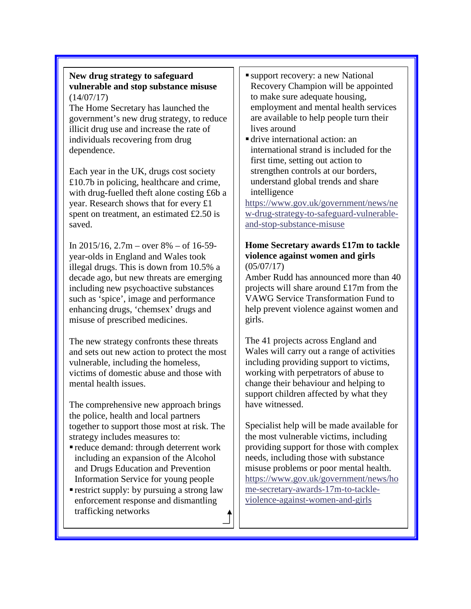#### **New drug strategy to safeguard vulnerable and stop substance misuse** (14/07/17)

The Home Secretary has launched the government's new drug strategy, to reduce illicit drug use and increase the rate of individuals recovering from drug dependence.

Each year in the UK, drugs cost society £10.7b in policing, healthcare and crime, with drug-fuelled theft alone costing £6b a year. Research shows that for every £1 spent on treatment, an estimated £2.50 is saved.

In  $2015/16$ ,  $2.7m$  – over  $8\%$  – of 16-59year-olds in England and Wales took illegal drugs. This is down from 10.5% a decade ago, but new threats are emerging including new psychoactive substances such as 'spice', image and performance enhancing drugs, 'chemsex' drugs and misuse of prescribed medicines.

The new strategy confronts these threats and sets out new action to protect the most vulnerable, including the homeless, victims of domestic abuse and those with mental health issues.

The comprehensive new approach brings the police, health and local partners together to support those most at risk. The strategy includes measures to:

- reduce demand: through deterrent work including an expansion of the Alcohol and Drugs Education and Prevention Information Service for young people
- **restrict supply:** by pursuing a strong law enforcement response and dismantling trafficking networks
- support recovery: a new National Recovery Champion will be appointed to make sure adequate housing, employment and mental health services are available to help people turn their lives around
- drive international action: an international strand is included for the first time, setting out action to strengthen controls at our borders, understand global trends and share intelligence

[https://www.gov.uk/government/news/ne](https://www.gov.uk/government/news/new-drug-strategy-to-safeguard-vulnerable-and-stop-substance-misuse) [w-drug-strategy-to-safeguard-vulnerable](https://www.gov.uk/government/news/new-drug-strategy-to-safeguard-vulnerable-and-stop-substance-misuse)[and-stop-substance-misuse](https://www.gov.uk/government/news/new-drug-strategy-to-safeguard-vulnerable-and-stop-substance-misuse)

#### **Home Secretary awards £17m to tackle violence against women and girls** (05/07/17)

Amber Rudd has announced more than 40 projects will share around £17m from the VAWG Service Transformation Fund to help prevent violence against women and girls.

The 41 projects across England and Wales will carry out a range of activities including providing support to victims, working with perpetrators of abuse to change their behaviour and helping to support children affected by what they have witnessed.

Specialist help will be made available for the most vulnerable victims, including providing support for those with complex needs, including those with substance misuse problems or poor mental health. [https://www.gov.uk/government/news/ho](https://www.gov.uk/government/news/home-secretary-awards-17m-to-tackle-violence-against-women-and-girls) [me-secretary-awards-17m-to-tackle](https://www.gov.uk/government/news/home-secretary-awards-17m-to-tackle-violence-against-women-and-girls)[violence-against-women-and-girls](https://www.gov.uk/government/news/home-secretary-awards-17m-to-tackle-violence-against-women-and-girls)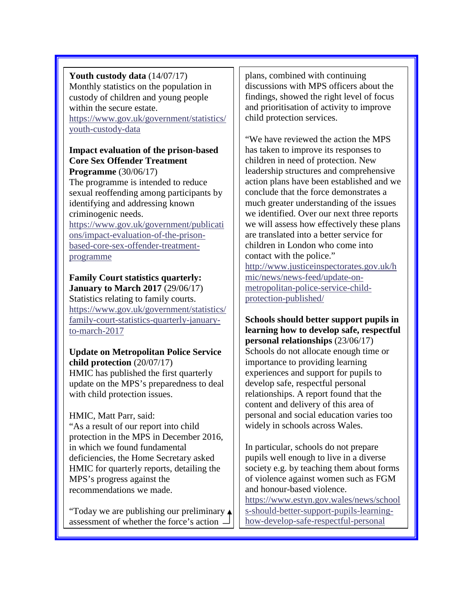**Youth custody data** (14/07/17) Monthly statistics on the population in custody of children and young people within the secure estate. [https://www.gov.uk/government/statistics/](https://www.gov.uk/government/statistics/youth-custody-data)

[youth-custody-data](https://www.gov.uk/government/statistics/youth-custody-data)

# **Impact evaluation of the prison-based Core Sex Offender Treatment**

**Programme** (30/06/17) The programme is intended to reduce sexual reoffending among participants by identifying and addressing known criminogenic needs. [https://www.gov.uk/government/publicati](https://www.gov.uk/government/publications/impact-evaluation-of-the-prison-based-core-sex-offender-treatment-programme)

[ons/impact-evaluation-of-the-prison](https://www.gov.uk/government/publications/impact-evaluation-of-the-prison-based-core-sex-offender-treatment-programme)[based-core-sex-offender-treatment](https://www.gov.uk/government/publications/impact-evaluation-of-the-prison-based-core-sex-offender-treatment-programme)[programme](https://www.gov.uk/government/publications/impact-evaluation-of-the-prison-based-core-sex-offender-treatment-programme)

**Family Court statistics quarterly: January to March 2017** (29/06/17) Statistics relating to family courts. [https://www.gov.uk/government/statistics/](https://www.gov.uk/government/statistics/family-court-statistics-quarterly-january-to-march-2017) [family-court-statistics-quarterly-january](https://www.gov.uk/government/statistics/family-court-statistics-quarterly-january-to-march-2017)[to-march-2017](https://www.gov.uk/government/statistics/family-court-statistics-quarterly-january-to-march-2017)

**Update on Metropolitan Police Service child protection** (20/07/17) HMIC has published the first quarterly update on the MPS's preparedness to deal with child protection issues.

HMIC, Matt Parr, said:

"As a result of our report into child protection in the MPS in December 2016, in which we found fundamental deficiencies, the Home Secretary asked HMIC for quarterly reports, detailing the MPS's progress against the recommendations we made.

"Today we are publishing our preliminary assessment of whether the force's action

plans, combined with continuing discussions with MPS officers about the findings, showed the right level of focus and prioritisation of activity to improve child protection services.

"We have reviewed the action the MPS has taken to improve its responses to children in need of protection. New leadership structures and comprehensive action plans have been established and we conclude that the force demonstrates a much greater understanding of the issues we identified. Over our next three reports we will assess how effectively these plans are translated into a better service for children in London who come into contact with the police." [http://www.justiceinspectorates.gov.uk/h](http://www.justiceinspectorates.gov.uk/hmic/news/news-feed/update-on-metropolitan-police-service-child-protection-published/) [mic/news/news-feed/update-on](http://www.justiceinspectorates.gov.uk/hmic/news/news-feed/update-on-metropolitan-police-service-child-protection-published/)[metropolitan-police-service-child-](http://www.justiceinspectorates.gov.uk/hmic/news/news-feed/update-on-metropolitan-police-service-child-protection-published/)

[protection-published/](http://www.justiceinspectorates.gov.uk/hmic/news/news-feed/update-on-metropolitan-police-service-child-protection-published/)

**Schools should better support pupils in learning how to develop safe, respectful personal relationships** (23/06/17) Schools do not allocate enough time or importance to providing learning experiences and support for pupils to develop safe, respectful personal relationships. A report found that the content and delivery of this area of personal and social education varies too widely in schools across Wales.

In particular, schools do not prepare pupils well enough to live in a diverse society e.g. by teaching them about forms of violence against women such as FGM and honour-based violence. [https://www.estyn.gov.wales/news/school](https://www.estyn.gov.wales/news/schools-should-better-support-pupils-learning-how-develop-safe-respectful-personal)

[s-should-better-support-pupils-learning](https://www.estyn.gov.wales/news/schools-should-better-support-pupils-learning-how-develop-safe-respectful-personal)[how-develop-safe-respectful-personal](https://www.estyn.gov.wales/news/schools-should-better-support-pupils-learning-how-develop-safe-respectful-personal)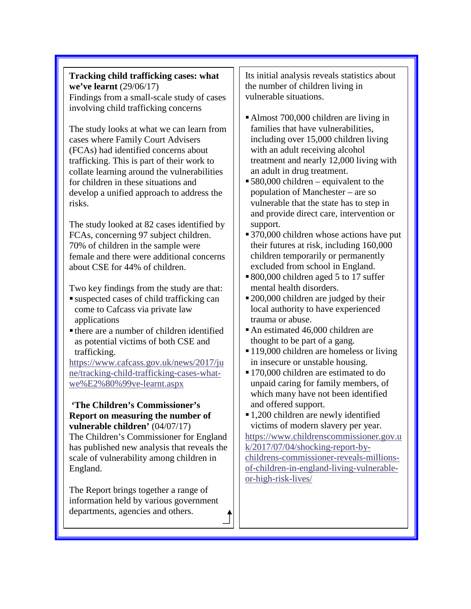**Tracking child trafficking cases: what we've learnt** (29/06/17) Findings from a small-scale study of cases involving child trafficking concerns

The study looks at what we can learn from cases where Family Court Advisers (FCAs) had identified concerns about trafficking. This is part of their work to collate learning around the vulnerabilities for children in these situations and develop a unified approach to address the risks.

The study looked at 82 cases identified by FCAs, concerning 97 subject children. 70% of children in the sample were female and there were additional concerns about CSE for 44% of children.

Two key findings from the study are that:

- suspected cases of child trafficking can come to Cafcass via private law applications
- there are a number of children identified as potential victims of both CSE and trafficking.

[https://www.cafcass.gov.uk/news/2017/ju](https://www.cafcass.gov.uk/news/2017/june/tracking-child-trafficking-cases-what-we%E2%80%99ve-learnt.aspx) [ne/tracking-child-trafficking-cases-what](https://www.cafcass.gov.uk/news/2017/june/tracking-child-trafficking-cases-what-we%E2%80%99ve-learnt.aspx)[we%E2%80%99ve-learnt.aspx](https://www.cafcass.gov.uk/news/2017/june/tracking-child-trafficking-cases-what-we%E2%80%99ve-learnt.aspx)

## **'The Children's Commissioner's Report on measuring the number of vulnerable children'** (04/07/17)

The Children's Commissioner for England has published new analysis that reveals the scale of vulnerability among children in England.

The Report brings together a range of information held by various government departments, agencies and others.

Its initial analysis reveals statistics about the number of children living in vulnerable situations.

- Almost 700,000 children are living in families that have vulnerabilities, including over 15,000 children living with an adult receiving alcohol treatment and nearly 12,000 living with an adult in drug treatment.
- 580,000 children equivalent to the population of Manchester – are so vulnerable that the state has to step in and provide direct care, intervention or support.
- 370,000 children whose actions have put their futures at risk, including 160,000 children temporarily or permanently excluded from school in England.
- 800,000 children aged 5 to 17 suffer mental health disorders.
- 200,000 children are judged by their local authority to have experienced trauma or abuse.
- An estimated 46,000 children are thought to be part of a gang.
- 119,000 children are homeless or living in insecure or unstable housing.
- 170,000 children are estimated to do unpaid caring for family members, of which many have not been identified and offered support.
- 1,200 children are newly identified victims of modern slavery per year.

[https://www.childrenscommissioner.gov.u](https://www.childrenscommissioner.gov.uk/2017/07/04/shocking-report-by-childrens-commissioner-reveals-millions-of-children-in-england-living-vulnerable-or-high-risk-lives/) [k/2017/07/04/shocking-report-by](https://www.childrenscommissioner.gov.uk/2017/07/04/shocking-report-by-childrens-commissioner-reveals-millions-of-children-in-england-living-vulnerable-or-high-risk-lives/)[childrens-commissioner-reveals-millions](https://www.childrenscommissioner.gov.uk/2017/07/04/shocking-report-by-childrens-commissioner-reveals-millions-of-children-in-england-living-vulnerable-or-high-risk-lives/)[of-children-in-england-living-vulnerable](https://www.childrenscommissioner.gov.uk/2017/07/04/shocking-report-by-childrens-commissioner-reveals-millions-of-children-in-england-living-vulnerable-or-high-risk-lives/)[or-high-risk-lives/](https://www.childrenscommissioner.gov.uk/2017/07/04/shocking-report-by-childrens-commissioner-reveals-millions-of-children-in-england-living-vulnerable-or-high-risk-lives/)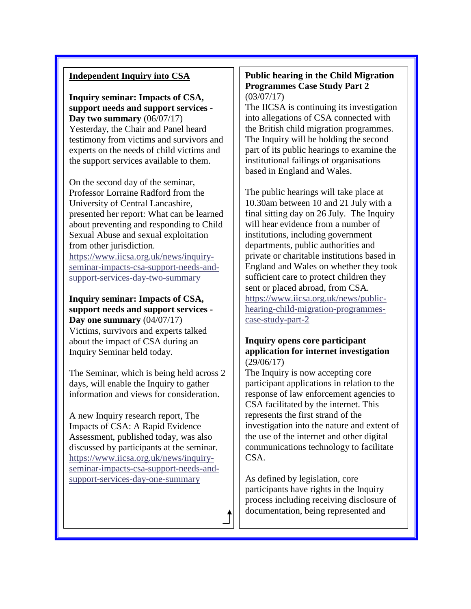#### **Independent Inquiry into CSA**

**Inquiry seminar: Impacts of CSA, support needs and support services - Day two summary** (06/07/17) Yesterday, the Chair and Panel heard testimony from victims and survivors and experts on the needs of child victims and the support services available to them.

On the second day of the seminar, Professor Lorraine Radford from the University of Central Lancashire, presented her report: What can be learned about preventing and responding to Child Sexual Abuse and sexual exploitation from other jurisdiction.

[https://www.iicsa.org.uk/news/inquiry](https://www.iicsa.org.uk/news/inquiry-seminar-impacts-csa-support-needs-and-support-services-day-two-summary)[seminar-impacts-csa-support-needs-and](https://www.iicsa.org.uk/news/inquiry-seminar-impacts-csa-support-needs-and-support-services-day-two-summary)[support-services-day-two-summary](https://www.iicsa.org.uk/news/inquiry-seminar-impacts-csa-support-needs-and-support-services-day-two-summary)

**Inquiry seminar: Impacts of CSA, support needs and support services - Day one summary** (04/07/17) Victims, survivors and experts talked about the impact of CSA during an Inquiry Seminar held today.

The Seminar, which is being held across 2 days, will enable the Inquiry to gather information and views for consideration.

A new Inquiry research report, The Impacts of CSA: A Rapid Evidence Assessment, published today, was also discussed by participants at the seminar. [https://www.iicsa.org.uk/news/inquiry](https://www.iicsa.org.uk/news/inquiry-seminar-impacts-csa-support-needs-and-support-services-day-one-summary)[seminar-impacts-csa-support-needs-and](https://www.iicsa.org.uk/news/inquiry-seminar-impacts-csa-support-needs-and-support-services-day-one-summary)[support-services-day-one-summary](https://www.iicsa.org.uk/news/inquiry-seminar-impacts-csa-support-needs-and-support-services-day-one-summary)

#### **Public hearing in the Child Migration Programmes Case Study Part 2** (03/07/17)

The IICSA is continuing its investigation into allegations of CSA connected with the British child migration programmes. The Inquiry will be holding the second part of its public hearings to examine the institutional failings of organisations based in England and Wales.

The public hearings will take place at 10.30am between 10 and 21 July with a final sitting day on 26 July. The Inquiry will hear evidence from a number of institutions, including government departments, public authorities and private or charitable institutions based in England and Wales on whether they took sufficient care to protect children they sent or placed abroad, from CSA. [https://www.iicsa.org.uk/news/public](https://www.iicsa.org.uk/news/public-hearing-child-migration-programmes-case-study-part-2)[hearing-child-migration-programmes](https://www.iicsa.org.uk/news/public-hearing-child-migration-programmes-case-study-part-2)[case-study-part-2](https://www.iicsa.org.uk/news/public-hearing-child-migration-programmes-case-study-part-2)

#### **Inquiry opens core participant application for internet investigation** (29/06/17)

The Inquiry is now accepting core participant applications in relation to the response of law enforcement agencies to CSA facilitated by the internet. This represents the first strand of the investigation into the nature and extent of the use of the internet and other digital communications technology to facilitate CSA.

As defined by legislation, core participants have rights in the Inquiry process including receiving disclosure of documentation, being represented and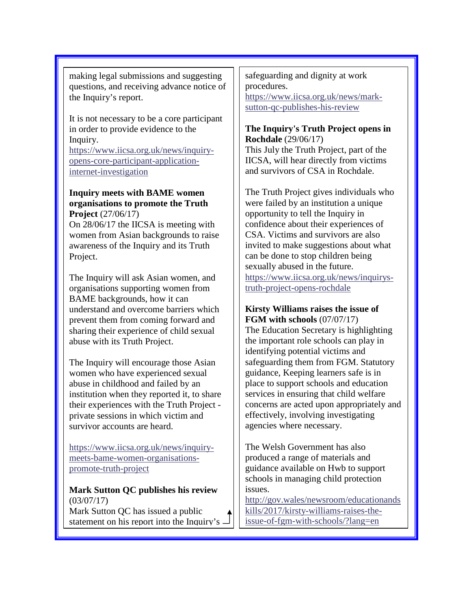making legal submissions and suggesting questions, and receiving advance notice of the Inquiry's report.

It is not necessary to be a core participant in order to provide evidence to the Inquiry. [https://www.iicsa.org.uk/news/inquiry](https://www.iicsa.org.uk/news/inquiry-opens-core-participant-application-internet-investigation)[opens-core-participant-application](https://www.iicsa.org.uk/news/inquiry-opens-core-participant-application-internet-investigation)[internet-investigation](https://www.iicsa.org.uk/news/inquiry-opens-core-participant-application-internet-investigation)

**Inquiry meets with BAME women organisations to promote the Truth Project** (27/06/17)

On 28/06/17 the IICSA is meeting with women from Asian backgrounds to raise awareness of the Inquiry and its Truth Project.

The Inquiry will ask Asian women, and organisations supporting women from BAME backgrounds, how it can understand and overcome barriers which prevent them from coming forward and sharing their experience of child sexual abuse with its Truth Project.

The Inquiry will encourage those Asian women who have experienced sexual abuse in childhood and failed by an institution when they reported it, to share their experiences with the Truth Project private sessions in which victim and survivor accounts are heard.

[https://www.iicsa.org.uk/news/inquiry](https://www.iicsa.org.uk/news/inquiry-meets-bame-women-organisations-promote-truth-project)[meets-bame-women-organisations](https://www.iicsa.org.uk/news/inquiry-meets-bame-women-organisations-promote-truth-project)[promote-truth-project](https://www.iicsa.org.uk/news/inquiry-meets-bame-women-organisations-promote-truth-project)

**Mark Sutton QC publishes his review** (03/07/17)

Mark Sutton QC has issued a public statement on his report into the Inquiry's  $\Box$  safeguarding and dignity at work procedures. [https://www.iicsa.org.uk/news/mark](https://www.iicsa.org.uk/news/mark-sutton-qc-publishes-his-review)[sutton-qc-publishes-his-review](https://www.iicsa.org.uk/news/mark-sutton-qc-publishes-his-review)

**The Inquiry's Truth Project opens in Rochdale** (29/06/17) This July the Truth Project, part of the IICSA, will hear directly from victims

and survivors of CSA in Rochdale.

The Truth Project gives individuals who were failed by an institution a unique opportunity to tell the Inquiry in confidence about their experiences of CSA. Victims and survivors are also invited to make suggestions about what can be done to stop children being sexually abused in the future. [https://www.iicsa.org.uk/news/inquirys](https://www.iicsa.org.uk/news/inquirys-truth-project-opens-rochdale)[truth-project-opens-rochdale](https://www.iicsa.org.uk/news/inquirys-truth-project-opens-rochdale)

**Kirsty Williams raises the issue of FGM with schools** (07/07/17)

The Education Secretary is highlighting the important role schools can play in identifying potential victims and safeguarding them from FGM. Statutory guidance, Keeping learners safe is in place to support schools and education services in ensuring that child welfare concerns are acted upon appropriately and effectively, involving investigating agencies where necessary.

The Welsh Government has also produced a range of materials and guidance available on Hwb to support schools in managing child protection issues.

[http://gov.wales/newsroom/educationands](http://gov.wales/newsroom/educationandskills/2017/kirsty-williams-raises-the-issue-of-fgm-with-schools/?lang=en) [kills/2017/kirsty-williams-raises-the](http://gov.wales/newsroom/educationandskills/2017/kirsty-williams-raises-the-issue-of-fgm-with-schools/?lang=en)[issue-of-fgm-with-schools/?lang=en](http://gov.wales/newsroom/educationandskills/2017/kirsty-williams-raises-the-issue-of-fgm-with-schools/?lang=en)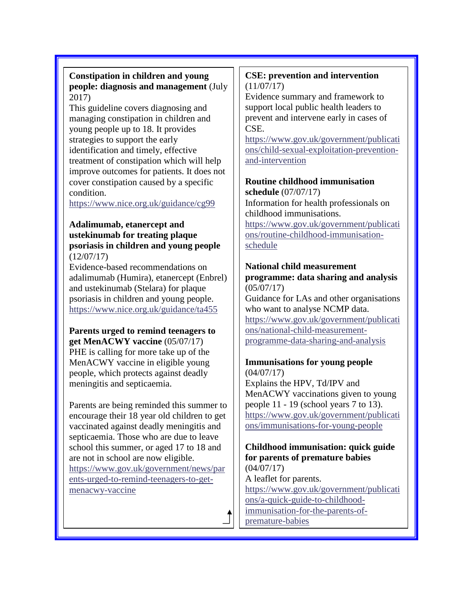### **Constipation in children and young people: diagnosis and management** (July 2017)

This guideline covers diagnosing and managing constipation in children and young people up to 18. It provides strategies to support the early identification and timely, effective treatment of constipation which will help improve outcomes for patients. It does not cover constipation caused by a specific condition.

<https://www.nice.org.uk/guidance/cg99>

## **Adalimumab, etanercept and ustekinumab for treating plaque psoriasis in children and young people**  (12/07/17)

Evidence-based recommendations on adalimumab (Humira), etanercept (Enbrel) and ustekinumab (Stelara) for plaque psoriasis in children and young people. <https://www.nice.org.uk/guidance/ta455>

# **Parents urged to remind teenagers to get MenACWY vaccine** (05/07/17) PHE is calling for more take up of the MenACWY vaccine in eligible young

people, which protects against deadly meningitis and septicaemia.

Parents are being reminded this summer to encourage their 18 year old children to get vaccinated against deadly meningitis and septicaemia. Those who are due to leave school this summer, or aged 17 to 18 and are not in school are now eligible. [https://www.gov.uk/government/news/par](https://www.gov.uk/government/news/parents-urged-to-remind-teenagers-to-get-menacwy-vaccine) [ents-urged-to-remind-teenagers-to-get](https://www.gov.uk/government/news/parents-urged-to-remind-teenagers-to-get-menacwy-vaccine)[menacwy-vaccine](https://www.gov.uk/government/news/parents-urged-to-remind-teenagers-to-get-menacwy-vaccine)

## **CSE: prevention and intervention**   $(11/07/17)$

Evidence summary and framework to support local public health leaders to prevent and intervene early in cases of CSE.

[https://www.gov.uk/government/publicati](https://www.gov.uk/government/publications/child-sexual-exploitation-prevention-and-intervention) [ons/child-sexual-exploitation-prevention](https://www.gov.uk/government/publications/child-sexual-exploitation-prevention-and-intervention)[and-intervention](https://www.gov.uk/government/publications/child-sexual-exploitation-prevention-and-intervention)

# **Routine childhood immunisation**

**schedule** (07/07/17) Information for health professionals on childhood immunisations. [https://www.gov.uk/government/publicati](https://www.gov.uk/government/publications/routine-childhood-immunisation-schedule) [ons/routine-childhood-immunisation](https://www.gov.uk/government/publications/routine-childhood-immunisation-schedule)[schedule](https://www.gov.uk/government/publications/routine-childhood-immunisation-schedule)

# **National child measurement programme: data sharing and analysis**

(05/07/17) Guidance for LAs and other organisations who want to analyse NCMP data.

[https://www.gov.uk/government/publicati](https://www.gov.uk/government/publications/national-child-measurement-programme-data-sharing-and-analysis) [ons/national-child-measurement](https://www.gov.uk/government/publications/national-child-measurement-programme-data-sharing-and-analysis)[programme-data-sharing-and-analysis](https://www.gov.uk/government/publications/national-child-measurement-programme-data-sharing-and-analysis)

# **Immunisations for young people**

 $(04/07/17)$ Explains the HPV, Td/IPV and MenACWY vaccinations given to young people 11 - 19 (school years 7 to 13). [https://www.gov.uk/government/publicati](https://www.gov.uk/government/publications/immunisations-for-young-people) [ons/immunisations-for-young-people](https://www.gov.uk/government/publications/immunisations-for-young-people)

# **Childhood immunisation: quick guide for parents of premature babies** (04/07/17)

A leaflet for parents. [https://www.gov.uk/government/publicati](https://www.gov.uk/government/publications/a-quick-guide-to-childhood-immunisation-for-the-parents-of-premature-babies) [ons/a-quick-guide-to-childhood](https://www.gov.uk/government/publications/a-quick-guide-to-childhood-immunisation-for-the-parents-of-premature-babies)[immunisation-for-the-parents-of](https://www.gov.uk/government/publications/a-quick-guide-to-childhood-immunisation-for-the-parents-of-premature-babies)[premature-babies](https://www.gov.uk/government/publications/a-quick-guide-to-childhood-immunisation-for-the-parents-of-premature-babies)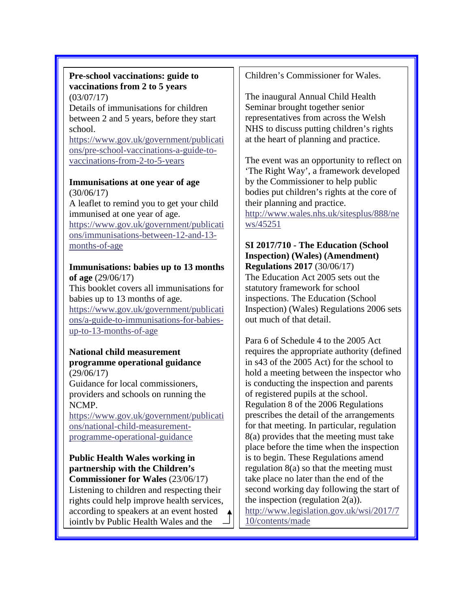#### **Pre-school vaccinations: guide to vaccinations from 2 to 5 years** (03/07/17)

Details of immunisations for children between 2 and 5 years, before they start school.

[https://www.gov.uk/government/publicati](https://www.gov.uk/government/publications/pre-school-vaccinations-a-guide-to-vaccinations-from-2-to-5-years) [ons/pre-school-vaccinations-a-guide-to](https://www.gov.uk/government/publications/pre-school-vaccinations-a-guide-to-vaccinations-from-2-to-5-years)[vaccinations-from-2-to-5-years](https://www.gov.uk/government/publications/pre-school-vaccinations-a-guide-to-vaccinations-from-2-to-5-years)

#### **Immunisations at one year of age** (30/06/17)

A leaflet to remind you to get your child immunised at one year of age. [https://www.gov.uk/government/publicati](https://www.gov.uk/government/publications/immunisations-between-12-and-13-months-of-age) [ons/immunisations-between-12-and-13](https://www.gov.uk/government/publications/immunisations-between-12-and-13-months-of-age) [months-of-age](https://www.gov.uk/government/publications/immunisations-between-12-and-13-months-of-age)

#### **Immunisations: babies up to 13 months of age** (29/06/17)

This booklet covers all immunisations for babies up to 13 months of age. [https://www.gov.uk/government/publicati](https://www.gov.uk/government/publications/a-guide-to-immunisations-for-babies-up-to-13-months-of-age) [ons/a-guide-to-immunisations-for-babies](https://www.gov.uk/government/publications/a-guide-to-immunisations-for-babies-up-to-13-months-of-age)[up-to-13-months-of-age](https://www.gov.uk/government/publications/a-guide-to-immunisations-for-babies-up-to-13-months-of-age)

#### **National child measurement programme operational guidance** (29/06/17)

Guidance for local commissioners, providers and schools on running the NCMP.

[https://www.gov.uk/government/publicati](https://www.gov.uk/government/publications/national-child-measurement-programme-operational-guidance) [ons/national-child-measurement](https://www.gov.uk/government/publications/national-child-measurement-programme-operational-guidance)[programme-operational-guidance](https://www.gov.uk/government/publications/national-child-measurement-programme-operational-guidance)

**Public Health Wales working in partnership with the Children's Commissioner for Wales** (23/06/17) Listening to children and respecting their rights could help improve health services, according to speakers at an event hosted jointly by Public Health Wales and the

Children's Commissioner for Wales.

The inaugural Annual Child Health Seminar brought together senior representatives from across the Welsh NHS to discuss putting children's rights at the heart of planning and practice.

The event was an opportunity to reflect on 'The Right Way', a framework developed by the Commissioner to help public bodies put children's rights at the core of their planning and practice. [http://www.wales.nhs.uk/sitesplus/888/ne](http://www.wales.nhs.uk/sitesplus/888/news/45251) [ws/45251](http://www.wales.nhs.uk/sitesplus/888/news/45251)

#### **SI 2017/710 - The Education (School Inspection) (Wales) (Amendment) Regulations 2017** (30/06/17)

The Education Act 2005 sets out the statutory framework for school inspections. The Education (School Inspection) (Wales) Regulations 2006 sets out much of that detail.

Para 6 of Schedule 4 to the 2005 Act requires the appropriate authority (defined in s43 of the 2005 Act) for the school to hold a meeting between the inspector who is conducting the inspection and parents of registered pupils at the school. Regulation 8 of the 2006 Regulations prescribes the detail of the arrangements for that meeting. In particular, regulation 8(a) provides that the meeting must take place before the time when the inspection is to begin. These Regulations amend regulation 8(a) so that the meeting must take place no later than the end of the second working day following the start of the inspection (regulation  $2(a)$ ). [http://www.legislation.gov.uk/wsi/2017/7](http://www.legislation.gov.uk/wsi/2017/710/contents/made) [10/contents/made](http://www.legislation.gov.uk/wsi/2017/710/contents/made)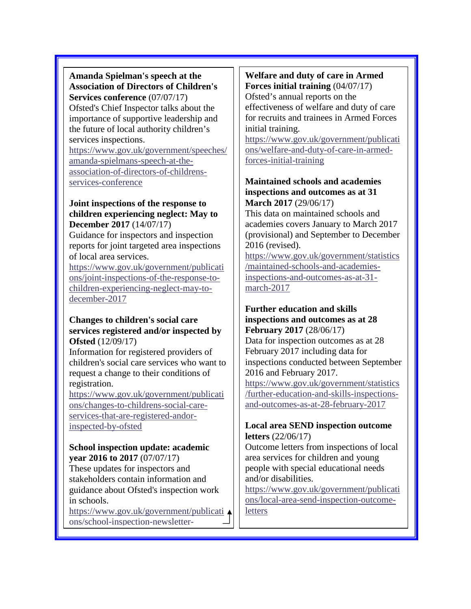**Amanda Spielman's speech at the Association of Directors of Children's Services conference** (07/07/17) Ofsted's Chief Inspector talks about the importance of supportive leadership and the future of local authority children's services inspections.

[https://www.gov.uk/government/speeches/](https://www.gov.uk/government/speeches/amanda-spielmans-speech-at-the-association-of-directors-of-childrens-services-conference) [amanda-spielmans-speech-at-the](https://www.gov.uk/government/speeches/amanda-spielmans-speech-at-the-association-of-directors-of-childrens-services-conference)[association-of-directors-of-childrens](https://www.gov.uk/government/speeches/amanda-spielmans-speech-at-the-association-of-directors-of-childrens-services-conference)[services-conference](https://www.gov.uk/government/speeches/amanda-spielmans-speech-at-the-association-of-directors-of-childrens-services-conference)

#### **Joint inspections of the response to children experiencing neglect: May to December 2017** (14/07/17)

Guidance for inspectors and inspection reports for joint targeted area inspections of local area services.

[https://www.gov.uk/government/publicati](https://www.gov.uk/government/publications/joint-inspections-of-the-response-to-children-experiencing-neglect-may-to-december-2017) [ons/joint-inspections-of-the-response-to](https://www.gov.uk/government/publications/joint-inspections-of-the-response-to-children-experiencing-neglect-may-to-december-2017)[children-experiencing-neglect-may-to](https://www.gov.uk/government/publications/joint-inspections-of-the-response-to-children-experiencing-neglect-may-to-december-2017)[december-2017](https://www.gov.uk/government/publications/joint-inspections-of-the-response-to-children-experiencing-neglect-may-to-december-2017)

#### **Changes to children's social care services registered and/or inspected by Ofsted** (12/09/17)

Information for registered providers of children's social care services who want to request a change to their conditions of registration.

[https://www.gov.uk/government/publicati](https://www.gov.uk/government/publications/changes-to-childrens-social-care-services-that-are-registered-andor-inspected-by-ofsted) [ons/changes-to-childrens-social-care](https://www.gov.uk/government/publications/changes-to-childrens-social-care-services-that-are-registered-andor-inspected-by-ofsted)[services-that-are-registered-andor](https://www.gov.uk/government/publications/changes-to-childrens-social-care-services-that-are-registered-andor-inspected-by-ofsted)[inspected-by-ofsted](https://www.gov.uk/government/publications/changes-to-childrens-social-care-services-that-are-registered-andor-inspected-by-ofsted)

## **School inspection update: academic year 2016 to 2017** (07/07/17)

These updates for inspectors and stakeholders contain information and guidance about Ofsted's inspection work in schools.

[https://www.gov.uk/government/publicati](https://www.gov.uk/government/publications/school-inspection-newsletter-academic-year-2016-to-2017) [ons/school-inspection-newsletter-](https://www.gov.uk/government/publications/school-inspection-newsletter-academic-year-2016-to-2017)

# **Welfare and duty of care in Armed**

**Forces initial training** (04/07/17) Ofsted's annual reports on the effectiveness of welfare and duty of care for recruits and trainees in Armed Forces initial training.

[https://www.gov.uk/government/publicati](https://www.gov.uk/government/publications/welfare-and-duty-of-care-in-armed-forces-initial-training) [ons/welfare-and-duty-of-care-in-armed](https://www.gov.uk/government/publications/welfare-and-duty-of-care-in-armed-forces-initial-training)[forces-initial-training](https://www.gov.uk/government/publications/welfare-and-duty-of-care-in-armed-forces-initial-training)

#### **Maintained schools and academies inspections and outcomes as at 31 March 2017** (29/06/17)

This data on maintained schools and academies covers January to March 2017 (provisional) and September to December 2016 (revised).

[https://www.gov.uk/government/statistics](https://www.gov.uk/government/statistics/maintained-schools-and-academies-inspections-and-outcomes-as-at-31-march-2017) [/maintained-schools-and-academies](https://www.gov.uk/government/statistics/maintained-schools-and-academies-inspections-and-outcomes-as-at-31-march-2017)[inspections-and-outcomes-as-at-31](https://www.gov.uk/government/statistics/maintained-schools-and-academies-inspections-and-outcomes-as-at-31-march-2017) [march-2017](https://www.gov.uk/government/statistics/maintained-schools-and-academies-inspections-and-outcomes-as-at-31-march-2017)

#### **Further education and skills inspections and outcomes as at 28 February 2017** (28/06/17)

Data for inspection outcomes as at 28 February 2017 including data for inspections conducted between September 2016 and February 2017.

[https://www.gov.uk/government/statistics](https://www.gov.uk/government/statistics/further-education-and-skills-inspections-and-outcomes-as-at-28-february-2017) [/further-education-and-skills-inspections](https://www.gov.uk/government/statistics/further-education-and-skills-inspections-and-outcomes-as-at-28-february-2017)[and-outcomes-as-at-28-february-2017](https://www.gov.uk/government/statistics/further-education-and-skills-inspections-and-outcomes-as-at-28-february-2017)

# **Local area SEND inspection outcome letters** (22/06/17)

Outcome letters from inspections of local area services for children and young people with special educational needs and/or disabilities.

[https://www.gov.uk/government/publicati](https://www.gov.uk/government/publications/local-area-send-inspection-outcome-letters) [ons/local-area-send-inspection-outcome](https://www.gov.uk/government/publications/local-area-send-inspection-outcome-letters)[letters](https://www.gov.uk/government/publications/local-area-send-inspection-outcome-letters)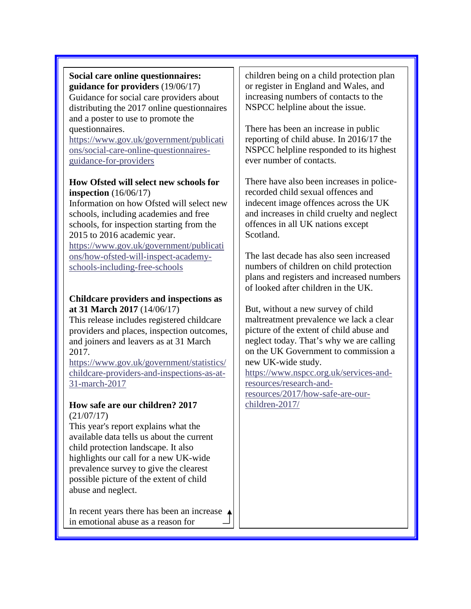#### **Social care online questionnaires: guidance for providers** (19/06/17) Guidance for social care providers about distributing the 2017 online questionnaires and a poster to use to promote the questionnaires.

[https://www.gov.uk/government/publicati](https://www.gov.uk/government/publications/social-care-online-questionnaires-guidance-for-providers) [ons/social-care-online-questionnaires](https://www.gov.uk/government/publications/social-care-online-questionnaires-guidance-for-providers)[guidance-for-providers](https://www.gov.uk/government/publications/social-care-online-questionnaires-guidance-for-providers)

## **How Ofsted will select new schools for inspection** (16/06/17)

Information on how Ofsted will select new schools, including academies and free schools, for inspection starting from the 2015 to 2016 academic year. [https://www.gov.uk/government/publicati](https://www.gov.uk/government/publications/how-ofsted-will-inspect-academy-schools-including-free-schools) [ons/how-ofsted-will-inspect-academy-](https://www.gov.uk/government/publications/how-ofsted-will-inspect-academy-schools-including-free-schools)

[schools-including-free-schools](https://www.gov.uk/government/publications/how-ofsted-will-inspect-academy-schools-including-free-schools)

# **Childcare providers and inspections as at 31 March 2017** (14/06/17)

This release includes registered childcare providers and places, inspection outcomes, and joiners and leavers as at 31 March 2017.

[https://www.gov.uk/government/statistics/](https://www.gov.uk/government/statistics/childcare-providers-and-inspections-as-at-31-march-2017) [childcare-providers-and-inspections-as-at-](https://www.gov.uk/government/statistics/childcare-providers-and-inspections-as-at-31-march-2017)[31-march-2017](https://www.gov.uk/government/statistics/childcare-providers-and-inspections-as-at-31-march-2017)

#### **How safe are our children? 2017** (21/07/17)

This year's report explains what the available data tells us about the current child protection landscape. It also highlights our call for a new UK-wide prevalence survey to give the clearest possible picture of the extent of child abuse and neglect.

In recent years there has been an increase in emotional abuse as a reason for

children being on a child protection plan or register in England and Wales, and increasing numbers of contacts to the NSPCC helpline about the issue.

There has been an increase in public reporting of child abuse. In 2016/17 the NSPCC helpline responded to its highest ever number of contacts.

There have also been increases in policerecorded child sexual offences and indecent image offences across the UK and increases in child cruelty and neglect offences in all UK nations except Scotland.

The last decade has also seen increased numbers of children on child protection plans and registers and increased numbers of looked after children in the UK.

But, without a new survey of child maltreatment prevalence we lack a clear picture of the extent of child abuse and neglect today. That's why we are calling on the UK Government to commission a new UK-wide study.

[https://www.nspcc.org.uk/services-and](https://www.nspcc.org.uk/services-and-resources/research-and-resources/2017/how-safe-are-our-children-2017/)[resources/research-and](https://www.nspcc.org.uk/services-and-resources/research-and-resources/2017/how-safe-are-our-children-2017/)[resources/2017/how-safe-are-our](https://www.nspcc.org.uk/services-and-resources/research-and-resources/2017/how-safe-are-our-children-2017/)[children-2017/](https://www.nspcc.org.uk/services-and-resources/research-and-resources/2017/how-safe-are-our-children-2017/)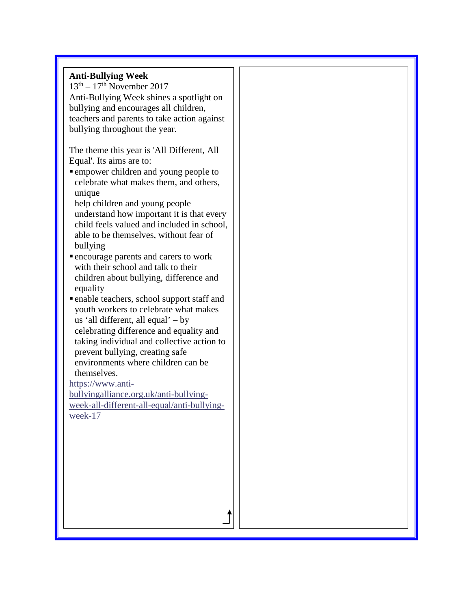# **Anti-Bullying Week**   $13<sup>th</sup> - 17<sup>th</sup>$  November 2017 Anti-Bullying Week shines a spotlight on bullying and encourages all children, teachers and parents to take action against bullying throughout the year. The theme this year is 'All Different, All Equal'. Its aims are to: empower children and young people to celebrate what makes them, and others, unique help children and young people understand how important it is that every child feels valued and included in school, able to be themselves, without fear of bullying encourage parents and carers to work with their school and talk to their children about bullying, difference and equality enable teachers, school support staff and youth workers to celebrate what makes us 'all different, all equal' – by celebrating difference and equality and taking individual and collective action to prevent bullying, creating safe environments where children can be themselves. [https://www.anti](https://www.anti-bullyingalliance.org.uk/anti-bullying-week-all-different-all-equal/anti-bullying-week-17)[bullyingalliance.org.uk/anti-bullying](https://www.anti-bullyingalliance.org.uk/anti-bullying-week-all-different-all-equal/anti-bullying-week-17)[week-all-different-all-equal/anti-bullying](https://www.anti-bullyingalliance.org.uk/anti-bullying-week-all-different-all-equal/anti-bullying-week-17)[week-17](https://www.anti-bullyingalliance.org.uk/anti-bullying-week-all-different-all-equal/anti-bullying-week-17)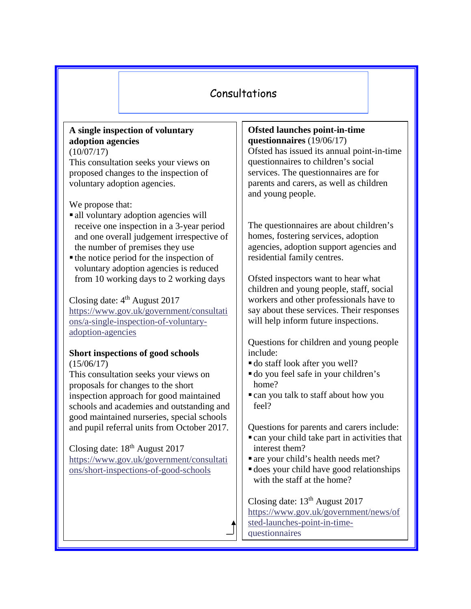# Consultations

# **A single inspection of voluntary adoption agencies**

(10/07/17)

This consultation seeks your views on proposed changes to the inspection of voluntary adoption agencies.

We propose that:

- all voluntary adoption agencies will receive one inspection in a 3-year period and one overall judgement irrespective of the number of premises they use
- $\blacksquare$  the notice period for the inspection of voluntary adoption agencies is reduced from 10 working days to 2 working days

Closing date:  $4<sup>th</sup>$  August 2017 [https://www.gov.uk/government/consultati](https://www.gov.uk/government/consultations/a-single-inspection-of-voluntary-adoption-agencies) [ons/a-single-inspection-of-voluntary](https://www.gov.uk/government/consultations/a-single-inspection-of-voluntary-adoption-agencies)[adoption-agencies](https://www.gov.uk/government/consultations/a-single-inspection-of-voluntary-adoption-agencies)

#### **Short inspections of good schools**   $(15/06/17)$

This consultation seeks your views on proposals for changes to the short inspection approach for good maintained schools and academies and outstanding and good maintained nurseries, special schools and pupil referral units from October 2017.

Closing date: 18<sup>th</sup> August 2017 [https://www.gov.uk/government/consultati](https://www.gov.uk/government/consultations/short-inspections-of-good-schools) [ons/short-inspections-of-good-schools](https://www.gov.uk/government/consultations/short-inspections-of-good-schools)

**Ofsted launches point-in-time questionnaires** (19/06/17) Ofsted has issued its annual point-in-time questionnaires to children's social services. The questionnaires are for parents and carers, as well as children and young people.

The questionnaires are about children's homes, fostering services, adoption agencies, adoption support agencies and residential family centres.

Ofsted inspectors want to hear what children and young people, staff, social workers and other professionals have to say about these services. Their responses will help inform future inspections.

Questions for children and young people include:

- do staff look after you well?
- do you feel safe in your children's home?
- can you talk to staff about how you feel?

Questions for parents and carers include:

- can your child take part in activities that interest them?
- are your child's health needs met?
- does your child have good relationships with the staff at the home?

Closing date:  $13<sup>th</sup>$  August 2017 [https://www.gov.uk/government/news/of](https://www.gov.uk/government/news/ofsted-launches-point-in-time-questionnaires) [sted-launches-point-in-time](https://www.gov.uk/government/news/ofsted-launches-point-in-time-questionnaires)[questionnaires](https://www.gov.uk/government/news/ofsted-launches-point-in-time-questionnaires)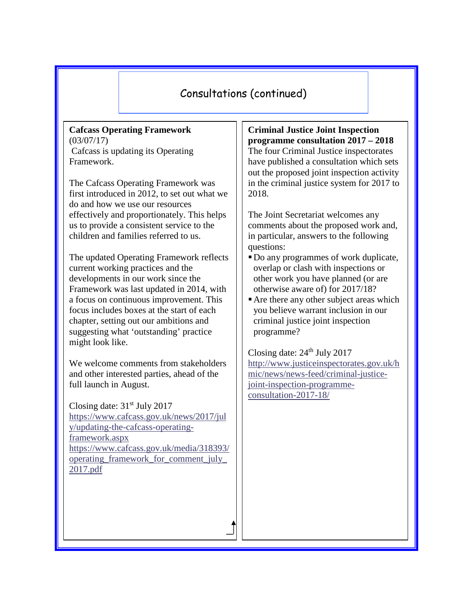# Consultations (continued)

#### **Cafcass Operating Framework** (03/07/17) Cafcass is updating its Operating Framework.

The Cafcass Operating Framework was first introduced in 2012, to set out what we do and how we use our resources effectively and proportionately. This helps us to provide a consistent service to the children and families referred to us.

The updated Operating Framework reflects current working practices and the developments in our work since the Framework was last updated in 2014, with a focus on continuous improvement. This focus includes boxes at the start of each chapter, setting out our ambitions and suggesting what 'outstanding' practice might look like.

We welcome comments from stakeholders and other interested parties, ahead of the full launch in August.

Closing date:  $31<sup>st</sup>$  July 2017 [https://www.cafcass.gov.uk/news/2017/jul](https://www.cafcass.gov.uk/news/2017/july/updating-the-cafcass-operating-framework.aspx) [y/updating-the-cafcass-operating](https://www.cafcass.gov.uk/news/2017/july/updating-the-cafcass-operating-framework.aspx)[framework.aspx](https://www.cafcass.gov.uk/news/2017/july/updating-the-cafcass-operating-framework.aspx) [https://www.cafcass.gov.uk/media/318393/](https://www.cafcass.gov.uk/media/318393/operating_framework_for_comment_july_2017.pdf) operating framework for comment july [2017.pdf](https://www.cafcass.gov.uk/media/318393/operating_framework_for_comment_july_2017.pdf)

**Criminal Justice Joint Inspection programme consultation 2017 – 2018** The four Criminal Justice inspectorates have published a consultation which sets out the proposed joint inspection activity in the criminal justice system for 2017 to 2018.

The Joint Secretariat welcomes any comments about the proposed work and, in particular, answers to the following questions:

- Do any programmes of work duplicate, overlap or clash with inspections or other work you have planned (or are otherwise aware of) for 2017/18?
- Are there any other subject areas which you believe warrant inclusion in our criminal justice joint inspection programme?

Closing date:  $24<sup>th</sup>$  July 2017 [http://www.justiceinspectorates.gov.uk/h](http://www.justiceinspectorates.gov.uk/hmic/news/news-feed/criminal-justice-joint-inspection-programme-consultation-2017-18/) [mic/news/news-feed/criminal-justice](http://www.justiceinspectorates.gov.uk/hmic/news/news-feed/criminal-justice-joint-inspection-programme-consultation-2017-18/)[joint-inspection-programme](http://www.justiceinspectorates.gov.uk/hmic/news/news-feed/criminal-justice-joint-inspection-programme-consultation-2017-18/)[consultation-2017-18/](http://www.justiceinspectorates.gov.uk/hmic/news/news-feed/criminal-justice-joint-inspection-programme-consultation-2017-18/)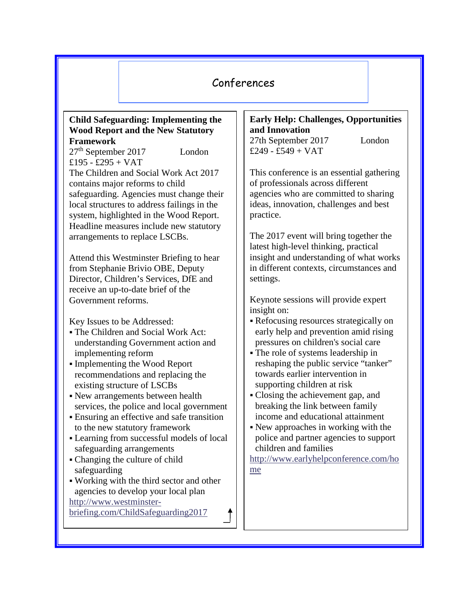# Conferences

#### **Child Safeguarding: Implementing the Wood Report and the New Statutory Framework**

27<sup>th</sup> September 2017 London  $£195 - £295 + VAT$ The Children and Social Work Act 2017 contains major reforms to child safeguarding. Agencies must change their local structures to address failings in the system, highlighted in the Wood Report. Headline measures include new statutory arrangements to replace LSCBs.

Attend this Westminster Briefing to hear from Stephanie Brivio OBE, Deputy Director, Children's Services, DfE and receive an up-to-date brief of the Government reforms.

Key Issues to be Addressed:

- The Children and Social Work Act: understanding Government action and implementing reform
- Implementing the Wood Report recommendations and replacing the existing structure of LSCBs
- New arrangements between health services, the police and local government
- Ensuring an effective and safe transition to the new statutory framework
- Learning from successful models of local safeguarding arrangements
- Changing the culture of child safeguarding
- Working with the third sector and other agencies to develop your local plan [http://www.westminster-](http://www.westminster-briefing.com/ChildSafeguarding2017)

[briefing.com/ChildSafeguarding2017](http://www.westminster-briefing.com/ChildSafeguarding2017)

# **Early Help: Challenges, Opportunities and Innovation**

27th September 2017 London  $£249 - £549 + VAT$ 

This conference is an essential gathering of professionals across different agencies who are committed to sharing ideas, innovation, challenges and best practice.

The 2017 event will bring together the latest high-level thinking, practical insight and understanding of what works in different contexts, circumstances and settings.

Keynote sessions will provide expert insight on:

- Refocusing resources strategically on early help and prevention amid rising pressures on children's social care
- The role of systems leadership in reshaping the public service "tanker" towards earlier intervention in supporting children at risk
- Closing the achievement gap, and breaking the link between family income and educational attainment
- New approaches in working with the police and partner agencies to support children and families

[http://www.earlyhelpconference.com/ho](http://www.earlyhelpconference.com/home) [me](http://www.earlyhelpconference.com/home)